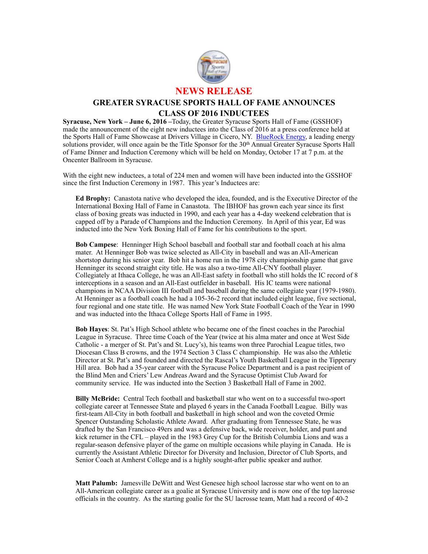

## **GREATER SYRACUSE SPORTS HALL OF FAME ANNOUNCES CLASS OF 2016 INDUCTEES**

**Syracuse, New York – June 6, 2016 –**Today, the Greater Syracuse Sports Hall of Fame (GSSHOF) made the announcement of the eight new inductees into the Class of 2016 at a press conference held at the Sports Hall of Fame Showcase at Drivers Village in Cicero, NY. [BlueRock Energy](http://www.bluerockenergy.com), a leading energy solutions provider, will once again be the Title Sponsor for the 30<sup>th</sup> Annual Greater Syracuse Sports Hall of Fame Dinner and Induction Ceremony which will be held on Monday, October 17 at 7 p.m. at the Oncenter Ballroom in Syracuse.

With the eight new inductees, a total of 224 men and women will have been inducted into the GSSHOF since the first Induction Ceremony in 1987. This year's Inductees are:

**Ed Brophy:** Canastota native who developed the idea, founded, and is the Executive Director of the International Boxing Hall of Fame in Canastota. The IBHOF has grown each year since its first class of boxing greats was inducted in 1990, and each year has a 4-day weekend celebration that is capped off by a Parade of Champions and the Induction Ceremony. In April of this year, Ed was inducted into the New York Boxing Hall of Fame for his contributions to the sport.

**Bob Campese**: Henninger High School baseball and football star and football coach at his alma mater. At Henninger Bob was twice selected as All-City in baseball and was an All-American shortstop during his senior year. Bob hit a home run in the 1978 city championship game that gave Henninger its second straight city title. He was also a two-time All-CNY football player. Collegiately at Ithaca College, he was an All-East safety in football who still holds the IC record of 8 interceptions in a season and an All-East outfielder in baseball. His IC teams were national champions in NCAA Division III football and baseball during the same collegiate year (1979-1980). At Henninger as a football coach he had a 105-36-2 record that included eight league, five sectional, four regional and one state title. He was named New York State Football Coach of the Year in 1990 and was inducted into the Ithaca College Sports Hall of Fame in 1995.

**Bob Hayes**: St. Pat's High School athlete who became one of the finest coaches in the Parochial League in Syracuse. Three time Coach of the Year (twice at his alma mater and once at West Side Catholic - a merger of St. Pat's and St. Lucy's), his teams won three Parochial League titles, two Diocesan Class B crowns, and the 1974 Section 3 Class C championship. He was also the Athletic Director at St. Pat's and founded and directed the Rascal's Youth Basketball League in the Tipperary Hill area. Bob had a 35-year career with the Syracuse Police Department and is a past recipient of the Blind Men and Criers' Lew Andreas Award and the Syracuse Optimist Club Award for community service. He was inducted into the Section 3 Basketball Hall of Fame in 2002.

**Billy McBride:** Central Tech football and basketball star who went on to a successful two-sport collegiate career at Tennessee State and played 6 years in the Canada Football League. Billy was first-team All-City in both football and basketball in high school and won the coveted Ormie Spencer Outstanding Scholastic Athlete Award. After graduating from Tennessee State, he was drafted by the San Francisco 49ers and was a defensive back, wide receiver, holder, and punt and kick returner in the CFL – played in the 1983 Grey Cup for the British Columbia Lions and was a regular-season defensive player of the game on multiple occasions while playing in Canada. He is currently the Assistant Athletic Director for Diversity and Inclusion, Director of Club Sports, and Senior Coach at Amherst College and is a highly sought-after public speaker and author.

**Matt Palumb:** Jamesville DeWitt and West Genesee high school lacrosse star who went on to an All-American collegiate career as a goalie at Syracuse University and is now one of the top lacrosse officials in the country. As the starting goalie for the SU lacrosse team, Matt had a record of 40-2